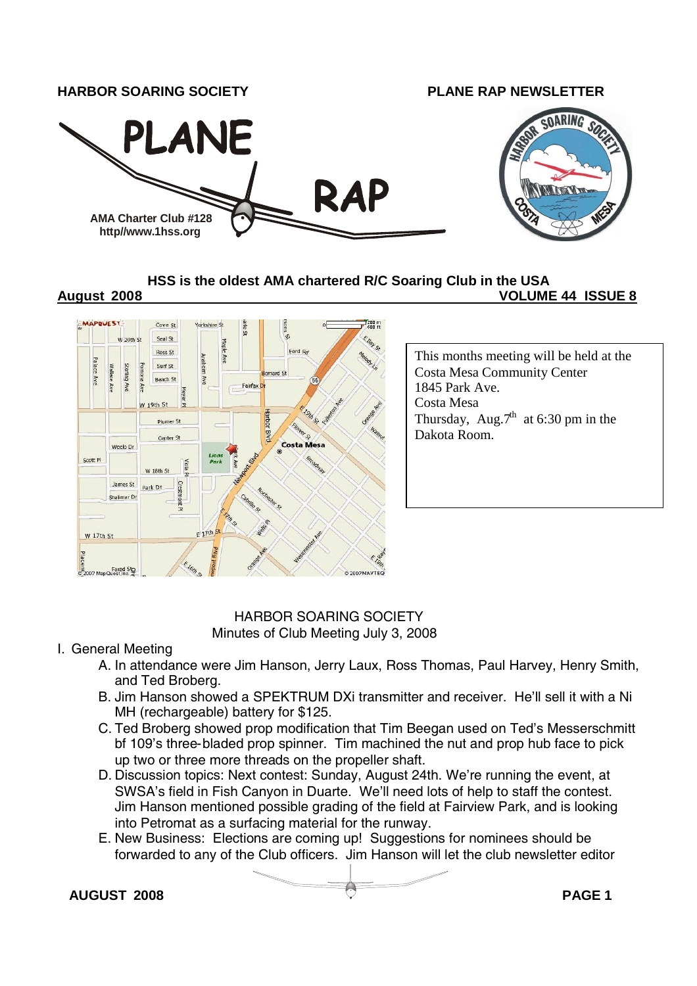

**HSS is the oldest AMA chartered R/C Soaring Club in the USA**

#### **August 2008 VOLUME 44 ISSUE 8**



### HARBOR SOARING SOCIETY Minutes of Club Meeting July 3, 2008

#### I. General Meeting

- A. In attendance were Jim Hanson, Jerry Laux, Ross Thomas, Paul Harvey, Henry Smith, and Ted Broberg.
- B. Jim Hanson showed a SPEKTRUM DXi transmitter and receiver. He'll sell it with a Ni MH (rechargeable) battery for \$125.
- C. Ted Broberg showed prop modification that Tim Beegan used on Ted's Messerschmitt bf 109's three-bladed prop spinner. Tim machined the nut and prop hub face to pick up two or three more threads on the propeller shaft.
- D. Discussion topics: Next contest: Sunday, August 24th. We're running the event, at SWSA's field in Fish Canyon in Duarte. We'll need lots of help to staff the contest. Jim Hanson mentioned possible grading of the field at Fairview Park, and is looking into Petromat as a surfacing material for the runway.
- E. New Business: Elections are coming up! Suggestions for nominees should be forwarded to any of the Club officers. Jim Hanson will let the club newsletter editor

**AUGUST 2008 PAGE 1**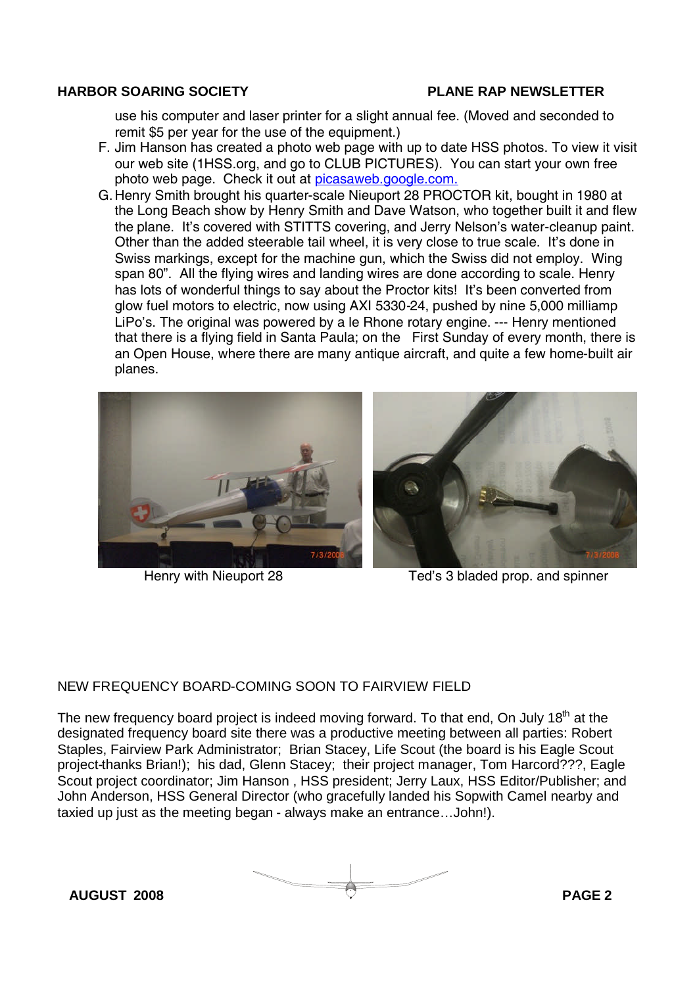use his computer and laser printer for a slight annual fee. (Moved and seconded to remit \$5 per year for the use of the equipment.)

- F. Jim Hanson has created a photo web page with up to date HSS photos. To view it visit our web site (1HSS.org, and go to CLUB PICTURES). You can start your own free photo web page. Check it out at picasaweb.google.com.
- G.Henry Smith brought his quarter-scale Nieuport 28 PROCTOR kit, bought in 1980 at the Long Beach show by Henry Smith and Dave Watson, who together built it and flew the plane. It's covered with STITTS covering, and Jerry Nelson's water-cleanup paint. Other than the added steerable tail wheel, it is very close to true scale. It's done in Swiss markings, except for the machine gun, which the Swiss did not employ. Wing span 80". All the flying wires and landing wires are done according to scale. Henry has lots of wonderful things to say about the Proctor kits! It's been converted from glow fuel motors to electric, now using AXI 5330-24, pushed by nine 5,000 milliamp LiPo's. The original was powered by a le Rhone rotary engine. --- Henry mentioned that there is a flying field in Santa Paula; on the First Sunday of every month, there is an Open House, where there are many antique aircraft, and quite a few home-built air planes.





Henry with Nieuport 28 Ted's 3 bladed prop. and spinner

#### NEW FREQUENCY BOARD-COMING SOON TO FAIRVIEW FIELD

The new frequency board project is indeed moving forward. To that end, On July 18<sup>th</sup> at the designated frequency board site there was a productive meeting between all parties: Robert Staples, Fairview Park Administrator; Brian Stacey, Life Scout (the board is his Eagle Scout project-thanks Brian!); his dad, Glenn Stacey; their project manager, Tom Harcord???, Eagle Scout project coordinator; Jim Hanson , HSS president; Jerry Laux, HSS Editor/Publisher; and John Anderson, HSS General Director (who gracefully landed his Sopwith Camel nearby and taxied up just as the meeting began - always make an entrance…John!).

**AUGUST 2008 PAGE 2**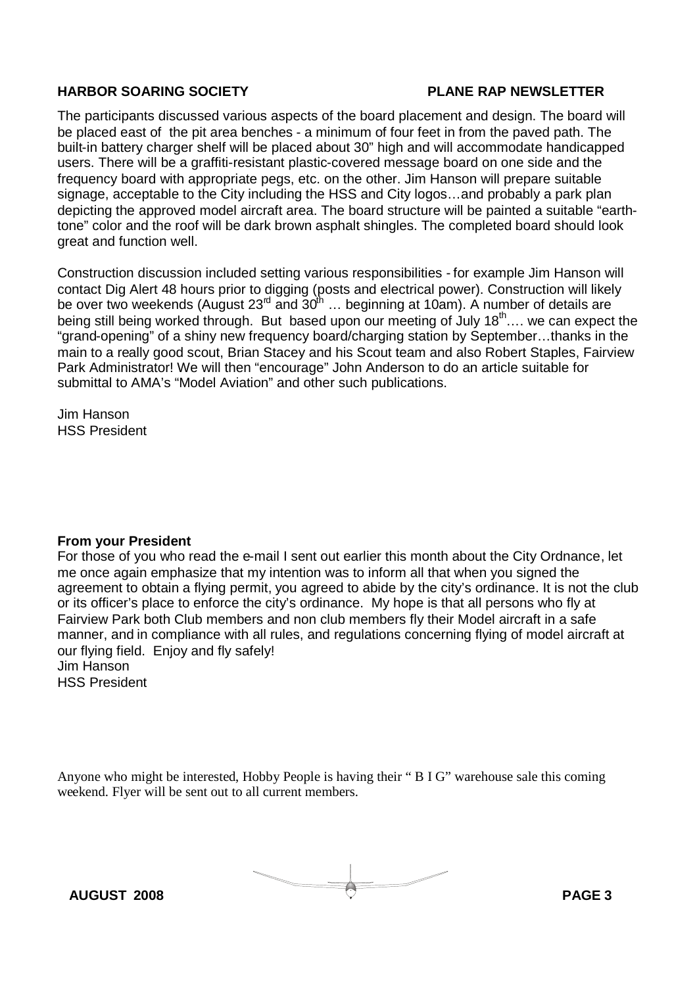The participants discussed various aspects of the board placement and design. The board will be placed east of the pit area benches - a minimum of four feet in from the paved path. The built-in battery charger shelf will be placed about 30" high and will accommodate handicapped users. There will be a graffiti-resistant plastic-covered message board on one side and the frequency board with appropriate pegs, etc. on the other. Jim Hanson will prepare suitable signage, acceptable to the City including the HSS and City logos…and probably a park plan depicting the approved model aircraft area. The board structure will be painted a suitable "earthtone" color and the roof will be dark brown asphalt shingles. The completed board should look great and function well.

Construction discussion included setting various responsibilities - for example Jim Hanson will contact Dig Alert 48 hours prior to digging (posts and electrical power). Construction will likely be over two weekends (August 23<sup>rd</sup> and 30<sup>th</sup> ... beginning at 10am). A number of details are being still being worked through. But based upon our meeting of July  $18^{\text{th}}$ ... we can expect the "grand-opening" of a shiny new frequency board/charging station by September…thanks in the main to a really good scout, Brian Stacey and his Scout team and also Robert Staples, Fairview Park Administrator! We will then "encourage" John Anderson to do an article suitable for submittal to AMA's "Model Aviation" and other such publications.

Jim Hanson HSS President

#### **From your President**

For those of you who read the e-mail I sent out earlier this month about the City Ordnance, let me once again emphasize that my intention was to inform all that when you signed the agreement to obtain a flying permit, you agreed to abide by the city's ordinance. It is not the club or its officer's place to enforce the city's ordinance. My hope is that all persons who fly at Fairview Park both Club members and non club members fly their Model aircraft in a safe manner, and in compliance with all rules, and regulations concerning flying of model aircraft at our flying field. Enjoy and fly safely! Jim Hanson

HSS President

Anyone who might be interested, Hobby People is having their " B I G" warehouse sale this coming weekend. Flyer will be sent out to all current members.

**AUGUST 2008 PAGE 3**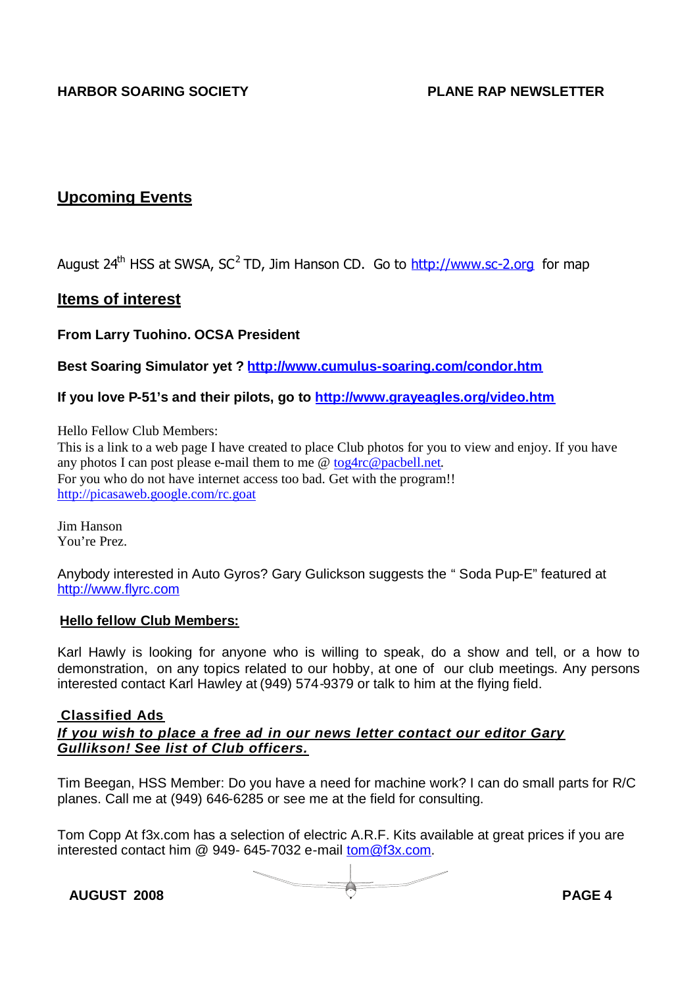### **Upcoming Events**

August 24<sup>th</sup> HSS at SWSA, SC<sup>2</sup> TD, Jim Hanson CD. Go to http://www.sc-2.org for map

### **Items of interest**

**From Larry Tuohino. OCSA President**

**Best Soaring Simulator yet ? http://www.cumulus-soaring.com/condor.htm**

**If you love P-51's and their pilots, go to http://www.grayeagles.org/video.htm**

Hello Fellow Club Members:

This is a link to a web page I have created to place Club photos for you to view and enjoy. If you have any photos I can post please e-mail them to me @ tog4rc@pacbell.net. For you who do not have internet access too bad. Get with the program!! http://picasaweb.google.com/rc.goat

Jim Hanson You're Prez.

Anybody interested in Auto Gyros? Gary Gulickson suggests the " Soda Pup-E" featured at http://www.flyrc.com

#### **Hello fellow Club Members:**

Karl Hawly is looking for anyone who is willing to speak, do a show and tell, or a how to demonstration, on any topics related to our hobby, at one of our club meetings. Any persons interested contact Karl Hawley at (949) 574-9379 or talk to him at the flying field.

#### **Classified Ads** *If you wish to place a free ad in our news letter contact our editor Gary Gullikson! See list of Club officers.*

Tim Beegan, HSS Member: Do you have a need for machine work? I can do small parts for R/C planes. Call me at (949) 646-6285 or see me at the field for consulting.

Tom Copp At f3x.com has a selection of electric A.R.F. Kits available at great prices if you are interested contact him @ 949- 645-7032 e-mail tom@f3x.com.

**AUGUST 2008 PAGE 4**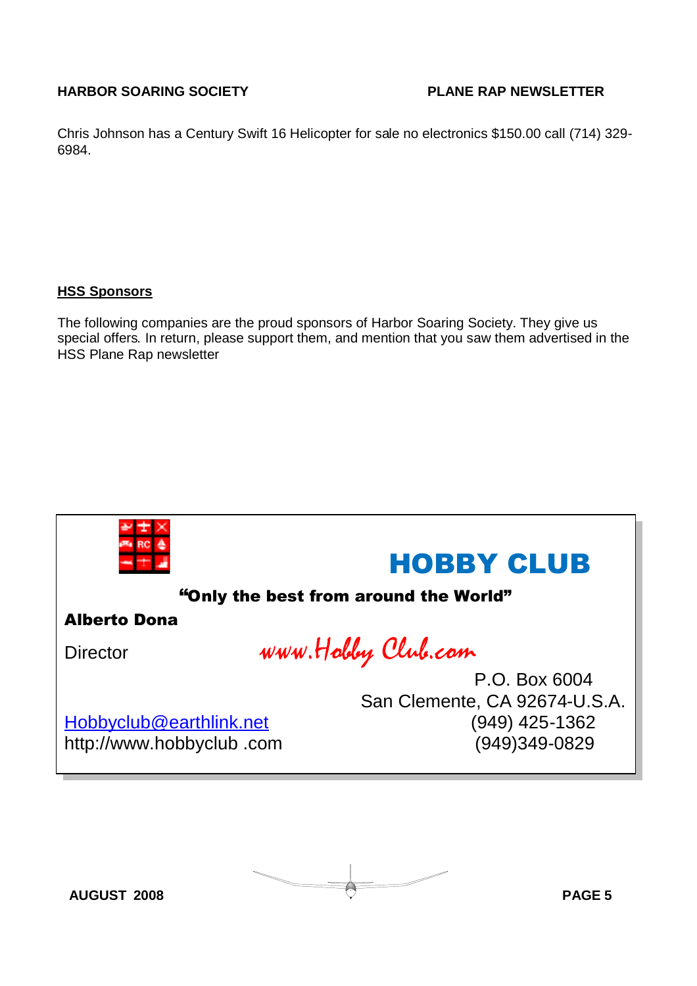Chris Johnson has a Century Swift 16 Helicopter for sale no electronics \$150.00 call (714) 329- 6984.

#### **HSS Sponsors**

The following companies are the proud sponsors of Harbor Soaring Society. They give us special offers. In return, please support them, and mention that you saw them advertised in the HSS Plane Rap newsletter



**AUGUST 2008 PAGE 5**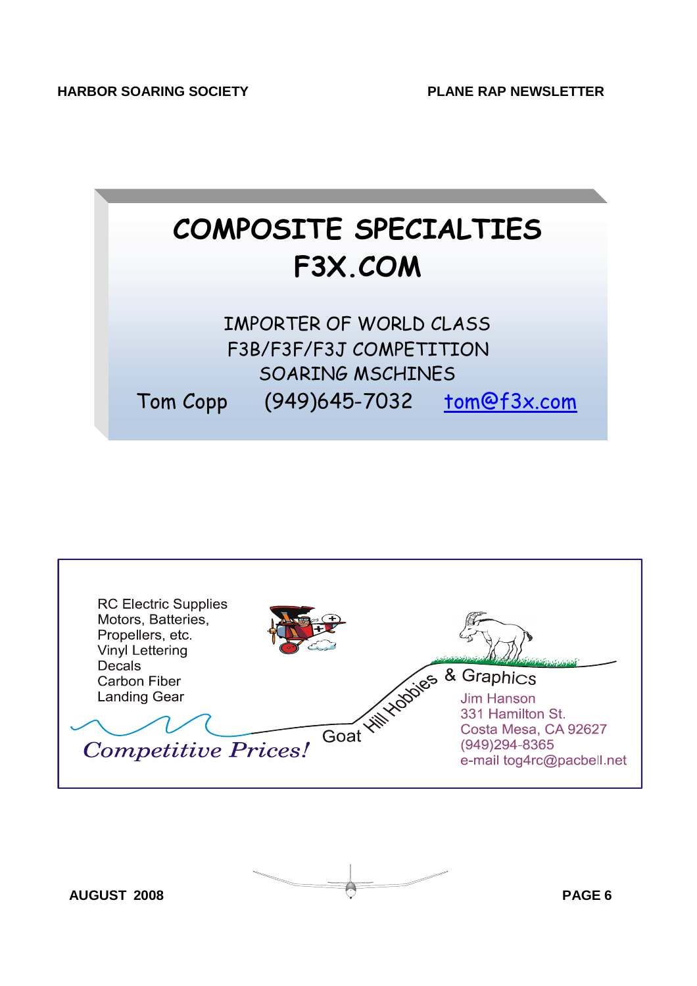



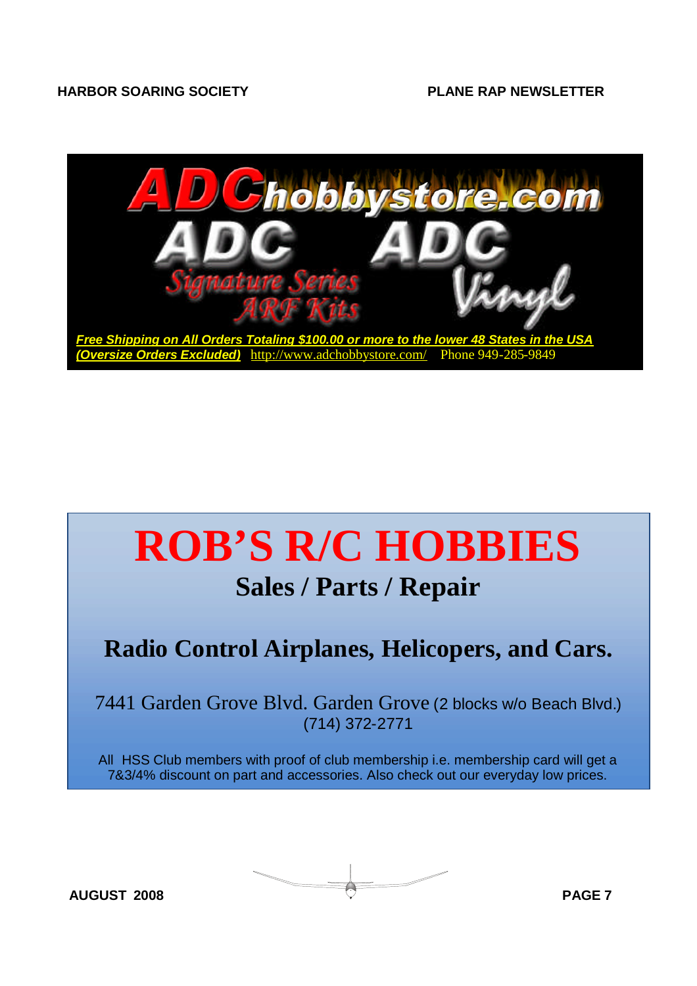

# **ROB'S R/C HOBBIES Sales / Parts / Repair**

## **Radio Control Airplanes, Helicopers, and Cars.**

7441 Garden Grove Blvd. Garden Grove (2 blocks w/o Beach Blvd.) (714) 372-2771

All HSS Club members with proof of club membership i.e. membership card will get a 7&3/4% discount on part and accessories. Also check out our everyday low prices.

**AUGUST 2008 PAGE 7**